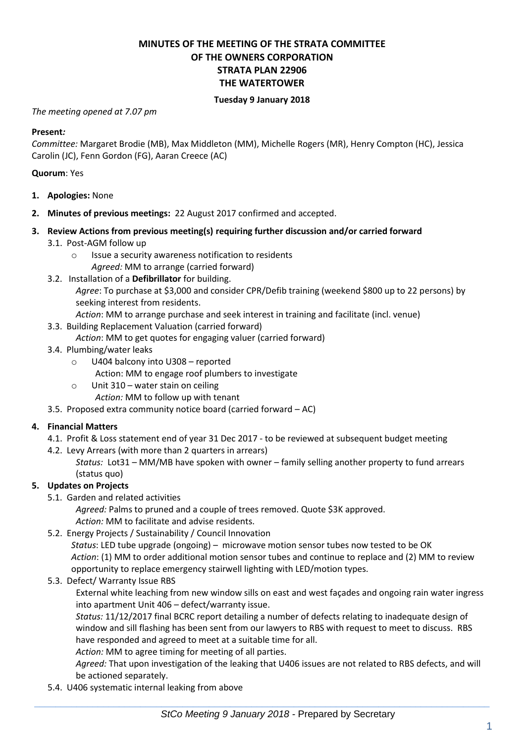# **MINUTES OF THE MEETING OF THE STRATA COMMITTEE OF THE OWNERS CORPORATION STRATA PLAN 22906 THE WATERTOWER**

#### **Tuesday 9 January 2018**

#### *The meeting opened at 7.07 pm*

#### **Present***:*

*Committee:* Margaret Brodie (MB), Max Middleton (MM), Michelle Rogers (MR), Henry Compton (HC), Jessica Carolin (JC), Fenn Gordon (FG), Aaran Creece (AC)

#### **Quorum**: Yes

- **1. Apologies:** None
- **2. Minutes of previous meetings:** 22 August 2017 confirmed and accepted.
- **3. Review Actions from previous meeting(s) requiring further discussion and/or carried forward**
	- 3.1. Post-AGM follow up
		- o Issue a security awareness notification to residents
			- *Agreed:* MM to arrange (carried forward)
	- 3.2. Installation of a **Defibrillator** for building.
		- *Agree*: To purchase at \$3,000 and consider CPR/Defib training (weekend \$800 up to 22 persons) by seeking interest from residents.
		- *Action*: MM to arrange purchase and seek interest in training and facilitate (incl. venue)
	- 3.3. Building Replacement Valuation (carried forward)
		- *Action*: MM to get quotes for engaging valuer (carried forward)
	- 3.4. Plumbing/water leaks
		- o U404 balcony into U308 reported Action: MM to engage roof plumbers to investigate
		- o Unit 310 water stain on ceiling
			- *Action:* MM to follow up with tenant
	- 3.5. Proposed extra community notice board (carried forward AC)

### **4. Financial Matters**

- 4.1. Profit & Loss statement end of year 31 Dec 2017 to be reviewed at subsequent budget meeting
- 4.2. Levy Arrears (with more than 2 quarters in arrears)
	- *Status:* Lot31 MM/MB have spoken with owner family selling another property to fund arrears (status quo)

### **5. Updates on Projects**

- 5.1. Garden and related activities
	- *Agreed:* Palms to pruned and a couple of trees removed. Quote \$3K approved. *Action:* MM to facilitate and advise residents.
- 5.2. Energy Projects / Sustainability / Council Innovation

*Status*: LED tube upgrade (ongoing) – microwave motion sensor tubes now tested to be OK *Action*: (1) MM to order additional motion sensor tubes and continue to replace and (2) MM to review opportunity to replace emergency stairwell lighting with LED/motion types.

5.3. Defect/ Warranty Issue RBS

External white leaching from new window sills on east and west façades and ongoing rain water ingress into apartment Unit 406 – defect/warranty issue.

*Status:* 11/12/2017 final BCRC report detailing a number of defects relating to inadequate design of window and sill flashing has been sent from our lawyers to RBS with request to meet to discuss. RBS have responded and agreed to meet at a suitable time for all.

*Action:* MM to agree timing for meeting of all parties.

*Agreed:* That upon investigation of the leaking that U406 issues are not related to RBS defects, and will be actioned separately.

5.4. U406 systematic internal leaking from above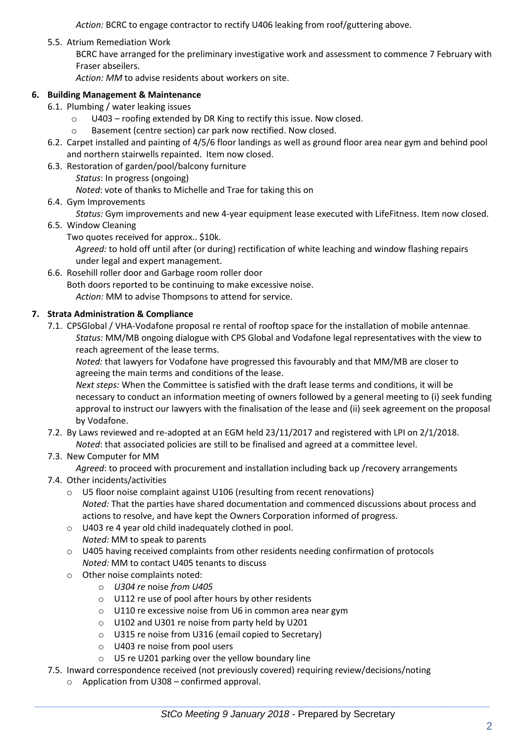*Action:* BCRC to engage contractor to rectify U406 leaking from roof/guttering above.

5.5. Atrium Remediation Work

BCRC have arranged for the preliminary investigative work and assessment to commence 7 February with Fraser abseilers.

*Action: MM* to advise residents about workers on site.

## **6. Building Management & Maintenance**

- 6.1. Plumbing / water leaking issues
	- o U403 roofing extended by DR King to rectify this issue. Now closed.
	- o Basement (centre section) car park now rectified. Now closed.
- 6.2. Carpet installed and painting of 4/5/6 floor landings as well as ground floor area near gym and behind pool and northern stairwells repainted. Item now closed.
- 6.3. Restoration of garden/pool/balcony furniture
	- *Status*: In progress (ongoing)

*Noted*: vote of thanks to Michelle and Trae for taking this on

6.4. Gym Improvements

*Status:* Gym improvements and new 4-year equipment lease executed with LifeFitness. Item now closed.

- 6.5. Window Cleaning
	- Two quotes received for approx.. \$10k.

*Agreed:* to hold off until after (or during) rectification of white leaching and window flashing repairs under legal and expert management.

6.6. Rosehill roller door and Garbage room roller door

Both doors reported to be continuing to make excessive noise.

*Action:* MM to advise Thompsons to attend for service.

### **7. Strata Administration & Compliance**

7.1. CPSGlobal / VHA-Vodafone proposal re rental of rooftop space for the installation of mobile antennae*. Status:* MM/MB ongoing dialogue with CPS Global and Vodafone legal representatives with the view to reach agreement of the lease terms.

*Noted:* that lawyers for Vodafone have progressed this favourably and that MM/MB are closer to agreeing the main terms and conditions of the lease.

*Next steps:* When the Committee is satisfied with the draft lease terms and conditions, it will be necessary to conduct an information meeting of owners followed by a general meeting to (i) seek funding approval to instruct our lawyers with the finalisation of the lease and (ii) seek agreement on the proposal by Vodafone.

7.2. By Laws reviewed and re-adopted at an EGM held 23/11/2017 and registered with LPI on 2/1/2018. *Noted*: that associated policies are still to be finalised and agreed at a committee level.

## 7.3. New Computer for MM

*Agreed*: to proceed with procurement and installation including back up /recovery arrangements

- 7.4. Other incidents/activities
	- o U5 floor noise complaint against U106 (resulting from recent renovations) *Noted:* That the parties have shared documentation and commenced discussions about process and actions to resolve, and have kept the Owners Corporation informed of progress.
	- o U403 re 4 year old child inadequately clothed in pool. *Noted:* MM to speak to parents
	- o U405 having received complaints from other residents needing confirmation of protocols *Noted:* MM to contact U405 tenants to discuss
	- o Other noise complaints noted:
		- o *U304 re* noise *from U405*
		- o U112 re use of pool after hours by other residents
		- o U110 re excessive noise from U6 in common area near gym
		- o U102 and U301 re noise from party held by U201
		- o U315 re noise from U316 (email copied to Secretary)
		- o U403 re noise from pool users
		- o U5 re U201 parking over the yellow boundary line
- 7.5. Inward correspondence received (not previously covered) requiring review/decisions/noting
	- o Application from U308 confirmed approval.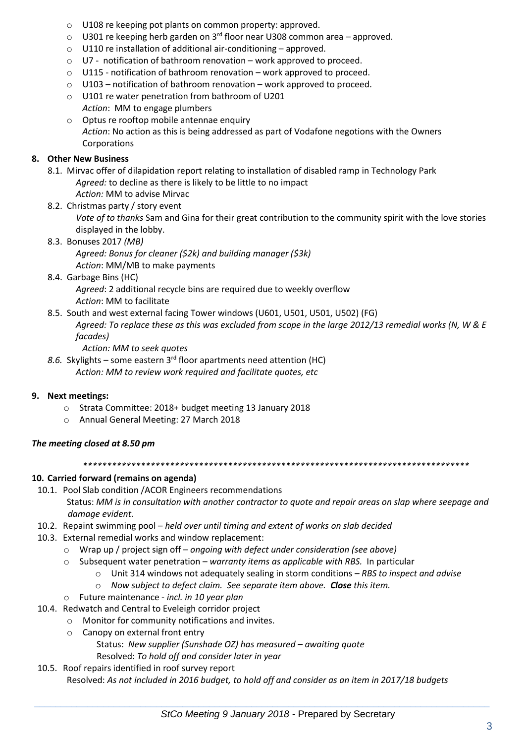- o U108 re keeping pot plants on common property: approved.
- $\circ$  U301 re keeping herb garden on 3<sup>rd</sup> floor near U308 common area approved.
- o U110 re installation of additional air-conditioning approved.
- o U7 notification of bathroom renovation work approved to proceed.
- o U115 notification of bathroom renovation work approved to proceed.
- o U103 notification of bathroom renovation work approved to proceed.
- o U101 re water penetration from bathroom of U201 *Action*: MM to engage plumbers
- o Optus re rooftop mobile antennae enquiry *Action*: No action as this is being addressed as part of Vodafone negotions with the Owners Corporations

### **8. Other New Business**

- 8.1. Mirvac offer of dilapidation report relating to installation of disabled ramp in Technology Park *Agreed:* to decline as there is likely to be little to no impact *Action:* MM to advise Mirvac
- 8.2. Christmas party / story event

*Vote of to thanks* Sam and Gina for their great contribution to the community spirit with the love stories displayed in the lobby.

8.3. Bonuses 2017 *(MB)*

*Agreed: Bonus for cleaner (\$2k) and building manager (\$3k) Action*: MM/MB to make payments

8.4. Garbage Bins (HC)

*Agreed*: 2 additional recycle bins are required due to weekly overflow *Action*: MM to facilitate

8.5. South and west external facing Tower windows (U601, U501, U501, U502) (FG)

*Agreed: To replace these as this was excluded from scope in the large 2012/13 remedial works (N, W & E facades)*

- *Action: MM to seek quotes*
- *8.6.* Skylights some eastern 3rd floor apartments need attention (HC) *Action: MM to review work required and facilitate quotes, etc*

### **9. Next meetings:**

- o Strata Committee: 2018+ budget meeting 13 January 2018
- o Annual General Meeting: 27 March 2018

## *The meeting closed at 8.50 pm*

*\*\*\*\*\*\*\*\*\*\*\*\*\*\*\*\*\*\*\*\*\*\*\*\*\*\*\*\*\*\*\*\*\*\*\*\*\*\*\*\*\*\*\*\*\*\*\*\*\*\*\*\*\*\*\*\*\*\*\*\*\*\*\*\*\*\*\*\*\*\*\*\*\*\*\*\*\*\*\*\**

## **10. Carried forward (remains on agenda)**

- 10.1. Pool Slab condition /ACOR Engineers recommendations Status: *MM is in consultation with another contractor to quote and repair areas on slap where seepage and damage evident.*
- 10.2. Repaint swimming pool *held over until timing and extent of works on slab decided*
- 10.3. External remedial works and window replacement:
	- o Wrap up / project sign off *ongoing with defect under consideration (see above)*
	- o Subsequent water penetration *warranty items as applicable with RBS.* In particular
		- o Unit 314 windows not adequately sealing in storm conditions *RBS to inspect and advise*
		- o *Now subject to defect claim. See separate item above. Close this item.*
	- o Future maintenance *incl. in 10 year plan*
- 10.4. Redwatch and Central to Eveleigh corridor project
	- o Monitor for community notifications and invites.
	- o Canopy on external front entry

Status: *New supplier (Sunshade OZ) has measured – awaiting quote* Resolved: *To hold off and consider later in year* 

10.5. Roof repairs identified in roof survey report

Resolved: *As not included in 2016 budget, to hold off and consider as an item in 2017/18 budgets*